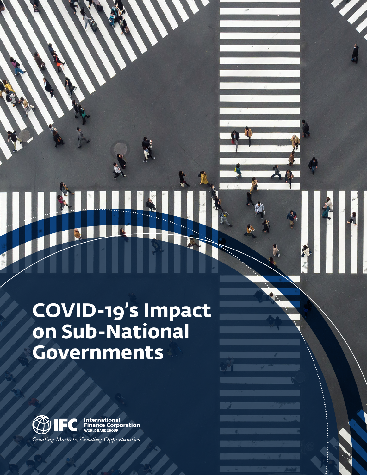# **COVID-19's Impact on Sub-National Governments**

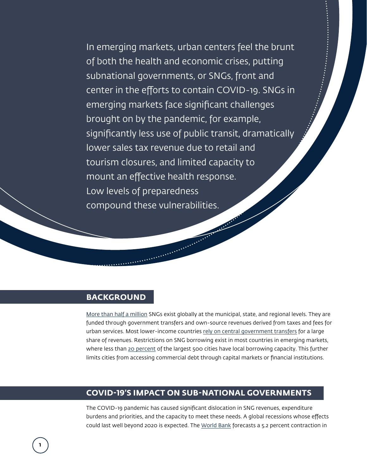In emerging markets, urban centers feel the brunt of both the health and economic crises, putting subnational governments, or SNGs, front and center in the efforts to contain COVID-19. SNGs in emerging markets face significant challenges brought on by the pandemic, for example, significantly less use of public transit, dramatically lower sales tax revenue due to retail and tourism closures, and limited capacity to mount an effective health response. Low levels of preparedness compound these vulnerabilities.

Company of the Company of the Company of the Company of the Company of the Company of the Company of the Company of the Company of the Company of the Company of the Company of the Company of the Company of the Company of t

### **BACKGROUND**

[More than half a million](https://www.uclg.org/sites/default/files/global_observatory_of_local_finance_part_i-ii.pdf) SNGs exist globally at the municipal, state, and regional levels. They are funded through government transfers and own-source revenues derived from taxes and fees for urban services. Most lower-income countries [rely on central government transfers](https://globalmunicipaldatabase.unhabitat.org/sites/default/files/2018-09/Global Municipal Database Metadata and Methods revised 130818_0.pdf) for a large share of revenues. Restrictions on SNG borrowing exist in most countries in emerging markets, where less than [20 percent](https://www.worldbank.org/en/topic/urbandevelopment/brief/city-creditworthiness-initiative) of the largest 500 cities have local borrowing capacity. This further limits cities from accessing commercial debt through capital markets or financial institutions.

### **COVID-19'S IMPACT ON SUB-NATIONAL GOVERNMENTS**

The COVID-19 pandemic has caused significant dislocation in SNG revenues, expenditure burdens and priorities, and the capacity to meet these needs. A global recessions whose effects could last well beyond 2020 is expected. The [World Bank](https://www.worldbank.org/en/publication/global-economic-prospects#:~:text=Global%20Outlook,-Download%20highlights&text=The%20baseline%20forecast%20envisions%20a,economies%20will%20shrink%20this%20year.) forecasts a 5.2 percent contraction in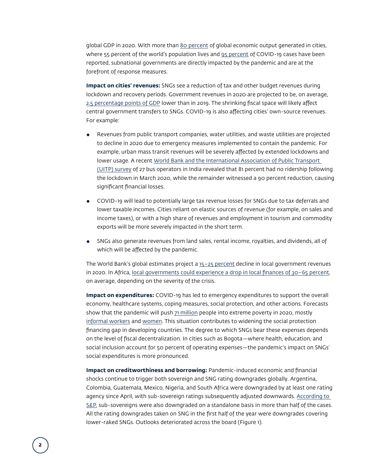global GDP in 2020. With more than [80 percent](https://www.worldbank.org/en/topic/urbandevelopment/overview) of global economic output generated in cities, where 55 percent of the world's population lives and [95 percent](https://unhabitat.org/opinion-covid-19-demonstrates-urgent-need-for-cities-to-prepare-for-pandemics) of COVID-19 cases have been reported, subnational governments are directly impacted by the pandemic and are at the forefront of response measures.

**Impact on cities' revenues:** SNGs see a reduction of tax and other budget revenues during lockdown and recovery periods. Government revenues in 2020 are projected to be, on average, [2.5 percentage points of GDP](https://www.imf.org/en/Publications/WEO/Issues/2020/06/24/WEOUpdateJune2020) lower than in 2019. The shrinking fiscal space will likely affect central government transfers to SNGs. COVID-19 is also affecting cities' own-source revenues. For example:

- Revenues from public transport companies, water utilities, and waste utilities are projected to decline in 2020 due to emergency measures implemented to contain the pandemic. For example, urban mass transit revenues will be severely affected by extended lockdowns and lower usage. A recent [World Bank and the International Association of Public Transport](https://www.uitp.org/publications/impact-of-covid-19-on-indian-bus-operators/)  [\(UITP\) survey](https://www.uitp.org/publications/impact-of-covid-19-on-indian-bus-operators/) of 27 bus operators in India revealed that 81 percent had no ridership following the lockdown in March 2020, while the remainder witnessed a 90 percent reduction, causing significant financial losses.
- COVID-19 will lead to potentially large tax revenue losses for SNGs due to tax deferrals and lower taxable incomes. Cities reliant on elastic sources of revenue (for example, on sales and income taxes), or with a high share of revenues and employment in tourism and commodity exports will be more severely impacted in the short term.
- SNGs also generate revenues from land sales, rental income, royalties, and dividends, all of which will be affected by the pandemic.

The World Bank's global estimates project a  $15-25$  percent decline in local government revenues in 2020. In Africa, [local governments could experience a drop in local finances of 30–65 percent](https://unhabitat.org/sites/default/files/2020/06/covid-19_in_african_cities_impacts_responses_and_policies2.pdf), on average, depending on the severity of the crisis.

**Impact on expenditures:** COVID-19 has led to emergency expenditures to support the overall economy, healthcare systems, coping measures, social protection, and other actions. Forecasts show that the pandemic will push [71 million](https://unstats.un.org/sdgs/report/2020/The-Sustainable-Development-Goals-Report-2020.pdf) people into extreme poverty in 2020, mostly [informal workers](https://www.ilo.org/wcmsp5/groups/public/@dgreports/@dcomm/documents/briefingnote/wcms_749399.pdf) and [women](https://www.un.org/sites/un2.un.org/files/the_world_of_work_and_covid-19.pdf). This situation contributes to widening the social protection financing gap in developing countries. The degree to which SNGs bear these expenses depends on the level of fiscal decentralization. In cities such as Bogota—where health, education, and social inclusion account for 50 percent of operating expenses—the pandemic's impact on SNGs' social expenditures is more pronounced.

**Impact on creditworthiness and borrowing:** Pandemic-induced economic and financial shocks continue to trigger both sovereign and SNG rating downgrades globally. Argentina, Colombia, Guatemala, Mexico, Nigeria, and South Africa were downgraded by at least one rating agency since April, with sub-sovereign ratings subsequently adjusted downwards. [According to](https://www.spglobal.com/ratings/en/research/articles/200623-ratings-on-emerging-market-local-governments-take-the-hardest-hit-in-the-first-half-of-2020-11542686)  [S&P](https://www.spglobal.com/ratings/en/research/articles/200623-ratings-on-emerging-market-local-governments-take-the-hardest-hit-in-the-first-half-of-2020-11542686), sub-sovereigns were also downgraded on a standalone basis in more than half of the cases. All the rating downgrades taken on SNG in the first half of the year were downgrades covering lower-raked SNGs. Outlooks deteriorated across the board (Figure 1).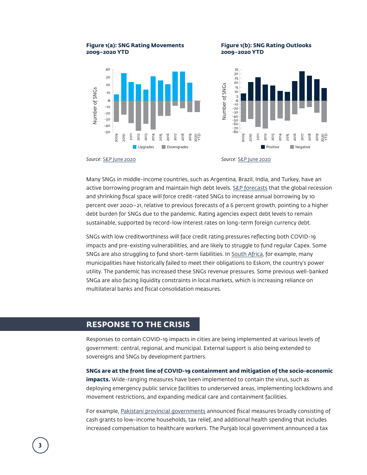## **2009–2020 YTD 2009–2020 YTD**





Many SNGs in middle-income countries, such as Argentina, Brazil, India, and Turkey, have an active borrowing program and maintain high debt levels. [S&P forecasts](https://www.spglobal.com/ratings/en/research/articles/200609-covid-19-fiscal-response-will-lift-local-and-regional-government-borrowing-to-record-high-11518255) that the global recession and shrinking fiscal space will force credit-rated SNGs to increase annual borrowing by 10 percent over 2020–21, relative to previous forecasts of a 6 percent growth, pointing to a higher debt burden for SNGs due to the pandemic. Rating agencies expect debt levels to remain sustainable, supported by record-low interest rates on long-term foreign currency debt.

SNGs with low creditworthiness will face credit rating pressures reflecting both COVID-19 impacts and pre-existing vulnerabilities, and are likely to struggle to fund regular Capex. Some SNGs are also struggling to fund short-term liabilities. In [South Africa,](https://www.dailymaverick.co.za/article/2020-09-15-eskom-debt-battle-utility-secures-free-state-municipal-farms-worth-r2-5bn/) for example, many municipalities have historically failed to meet their obligations to Eskom, the country's power utility. The pandemic has increased these SNGs revenue pressures. Some previous well-banked SNGa are also facing liquidity constraints in local markets, which is increasing reliance on multilateral banks and fiscal consolidation measures.

### **RESPONSE TO THE CRISIS**

Responses to contain COVID-19 impacts in cities are being implemented at various levels of government: central, regional, and municipal. External support is also being extended to sovereigns and SNGs by development partners.

**SNGs are at the front line of COVID-19 containment and mitigation of the socio-economic impacts.** Wide-ranging measures have been implemented to contain the virus, such as deploying emergency public service facilities to underserved areas, implementing lockdowns and movement restrictions, and expanding medical care and containment facilities.

For example, [Pakistani provincial governments](https://www.imf.org/en/Topics/imf-and-covid19/Policy-Responses-to-COVID-19#P) announced fiscal measures broadly consisting of cash grants to low-income households, tax relief, and additional health spending that includes increased compensation to healthcare workers. The Punjab local government announced a tax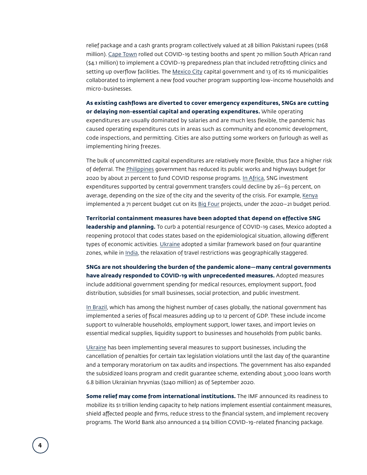relief package and a cash grants program collectively valued at 28 billion Pakistani rupees (\$168 million). [Cape Town](http://www.capetown.gov.za/Media-and-news/First clinic ) rolled out COVID-19 testing booths and spent 70 million South African rand (\$4.1 million) to implement a COVID-19 preparedness plan that included retrofitting clinics and setting up overflow facilities. The [Mexico City](http://gamadero.gob.mx/Mercomuna/blog.html) capital government and 13 of its 16 municipalities collaborated to implement a new food voucher program supporting low-income households and micro-businesses.

**As existing cashflows are diverted to cover emergency expenditures, SNGs are cutting or delaying non-essential capital and operating expenditures.** While operating expenditures are usually dominated by salaries and are much less flexible, the pandemic has caused operating expenditures cuts in areas such as community and economic development, code inspections, and permitting. Cities are also putting some workers on furlough as well as implementing hiring freezes.

The bulk of uncommitted capital expenditures are relatively more flexible, thus face a higher risk of deferral. The [Philippines](https://theaseanpost.com/article/build-build-build-program-amid-pandemic) government has reduced its public works and highways budget for 2020 by about 21 percent to fund COVID response programs. [In Africa](https://unhabitat.org/sites/default/files/2020/06/covid-19_in_african_cities_impacts_responses_and_policies2.pdf), SNG investment expenditures supported by central government transfers could decline by 26–63 percent, on average, depending on the size of the city and the severity of the crisis. For example, [Kenya](https://www.fitchsolutions.com/infrastructure-project-finance/infrastructure-post-covid-19-sector-focus-amidst-economic-stimulus-push-17-07-2020?fSWebArticleValidation=true&mkt_tok=eyJpIjoiTVROaU56SmhOR1ZpWm1VNCIsInQiOiJ6K0kwTFZBb1wvVnVmRGh3Q1R4bVlmdkxcL0RJVDNHblJpVU43d3I0empaampEN0RWUXlhbko0cmU0Mzh4Yk9aOVN0VXMySHJWVXNzbVowdjQ1SnQyYjNJXC81MmV1ckpNaFRmSDhpa0NjaFlZNktEZVIwSnpMOEM4XC82aEZDK0lDaXoifQ%3D%3D) implemented a 71 percent budget cut on its [Big Four](https://vision2030.go.ke/towards-2030/) projects, under the 2020-21 budget period.

**Territorial containment measures have been adopted that depend on effective SNG leadership and planning.** To curb a potential resurgence of COVID-19 cases, Mexico adopted a reopening protocol that codes states based on the epidemiological situation, allowing different types of economic activities. [Ukraine](https://www.imf.org/en/Topics/imf-and-covid19/Policy-Responses-to-COVID-19#U) adopted a similar framework based on four quarantine zones, while in [India](https://www.imf.org/en/Topics/imf-and-covid19/Policy-Responses-to-COVID-19#U), the relaxation of travel restrictions was geographically staggered.

**SNGs are not shouldering the burden of the pandemic alone—many central governments have already responded to COVID-19 with unprecedented measures.** Adopted measures include additional government spending for medical resources, employment support, food distribution, subsidies for small businesses, social protection, and public investment.

[In Brazil](https://www.imf.org/en/Topics/imf-and-covid19/Policy-Responses-to-COVID-19#B), which has among the highest number of cases globally, the national government has implemented a series of fiscal measures adding up to 12 percent of GDP. These include income support to vulnerable households, employment support, lower taxes, and import levies on essential medical supplies, liquidity support to businesses and households from public banks.

[Ukraine](https://www.imf.org/en/Topics/imf-and-covid19/Policy-Responses-to-COVID-19#U) has been implementing several measures to support businesses, including the cancellation of penalties for certain tax legislation violations until the last day of the quarantine and a temporary moratorium on tax audits and inspections. The government has also expanded the subsidized loans program and credit guarantee scheme, extending about 3,000 loans worth 6.8 billion Ukrainian hryvnias (\$240 million) as of September 2020.

**Some relief may come from international institutions.** The IMF announced its readiness to mobilize its \$1 trillion lending capacity to help nations implement essential containment measures, shield affected people and firms, reduce stress to the financial system, and implement recovery programs. The World Bank also announced a \$14 billion COVID-19-related financing package.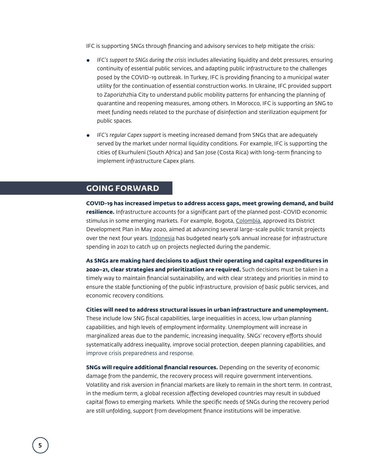IFC is supporting SNGs through financing and advisory services to help mitigate the crisis:

- *IFC's support to SNGs during the crisis* includes alleviating liquidity and debt pressures, ensuring continuity of essential public services, and adapting public infrastructure to the challenges posed by the COVID-19 outbreak. In Turkey, IFC is providing financing to a municipal water utility for the continuation of essential construction works. In Ukraine, IFC provided support to Zaporizhzhia City to understand public mobility patterns for enhancing the planning of quarantine and reopening measures, among others. In Morocco, IFC is supporting an SNG to meet funding needs related to the purchase of disinfection and sterilization equipment for public spaces.
- *IFC's regular Capex support* is meeting increased demand from SNGs that are adequately served by the market under normal liquidity conditions. For example, IFC is supporting the cities of Ekurhuleni (South Africa) and San Jose (Costa Rica) with long-term financing to implement infrastructure Capex plans.

### **GOING FORWARD**

**COVID-19 has increased impetus to address access gaps, meet growing demand, and build resilience.** Infrastructure accounts for a significant part of the planned post-COVID economic stimulus in some emerging markets. For example, Bogota, [Colombia,](https://www.fitchsolutions.com/infrastructure-project-finance/infrastructure-post-covid-19-sector-focus-amidst-economic-stimulus-push-17-07-2020?fSWebArticleValidation=true&mkt_tok=eyJpIjoiTVROaU56SmhOR1ZpWm1VNCIsInQiOiJ6K0kwTFZBb1wvVnVmRGh3Q1R4bVlmdkxcL0RJVDNHblJpVU43d3I0empaampEN0RWUXlhbko0cmU0Mzh4Yk9aOVN0VXMySHJWVXNzbVowdjQ1SnQyYjNJXC81MmV1ckpNaFRmSDhpa0NjaFlZNktEZVIwSnpMOEM4XC82aEZDK0lDaXoifQ%3D%3D) approved its District Development Plan in May 2020, aimed at advancing several large-scale public transit projects over the next four years. [Indonesia](https://www.nasdaq.com/articles/indonesia-parliament-passes-president-joko-widodos-%24185-bln-2021-budget-2020-09-29) has budgeted nearly 50% annual increase for infrastructure spending in 2021 to catch up on projects neglected during the pandemic.

**As SNGs are making hard decisions to adjust their operating and capital expenditures in 2020–21, clear strategies and prioritization are required.** Such decisions must be taken in a timely way to maintain financial sustainability, and with clear strategy and priorities in mind to ensure the stable functioning of the public infrastructure, provision of basic public services, and economic recovery conditions.

**Cities will need to address structural issues in urban infrastructure and unemployment.** These include low SNG fiscal capabilities, large inequalities in access, low urban planning capabilities, and high levels of employment informality. Unemployment will increase in marginalized areas due to the pandemic, increasing inequality. SNGs' recovery efforts should systematically address inequality, improve social protection, deepen planning capabilities, and improve crisis preparedness and response.

**SNGs will require additional financial resources.** Depending on the severity of economic damage from the pandemic, the recovery process will require government interventions. Volatility and risk aversion in financial markets are likely to remain in the short term. In contrast, in the medium term, a global recession affecting developed countries may result in subdued capital flows to emerging markets. While the specific needs of SNGs during the recovery period are still unfolding, support from development finance institutions will be imperative.